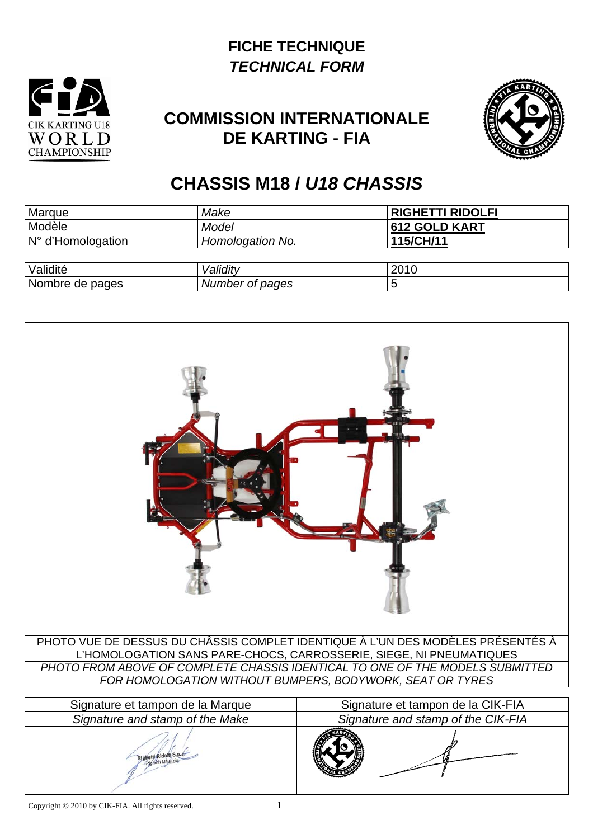## **FICHE TECHNIQUE**  *TECHNICAL FORM*



## **COMMISSION INTERNATIONALE DE KARTING - FIA**



## **CHASSIS M18 /** *U18 CHASSIS*

| Marque            | Make             | <b>RIGHETTI RIDOLFI</b> |
|-------------------|------------------|-------------------------|
| Modèle            | Model            | <b>612 GOLD KART</b>    |
| N° d'Homologation | Homologation No. | 115/CH/11               |
|                   |                  |                         |
| Validité          | Validity         | 2010                    |
| Nombre de pages   | Number of pages  |                         |

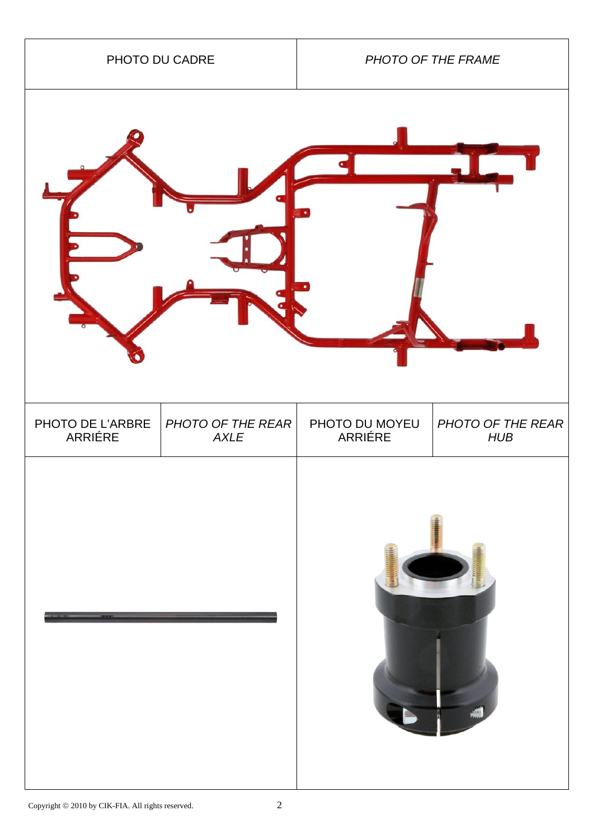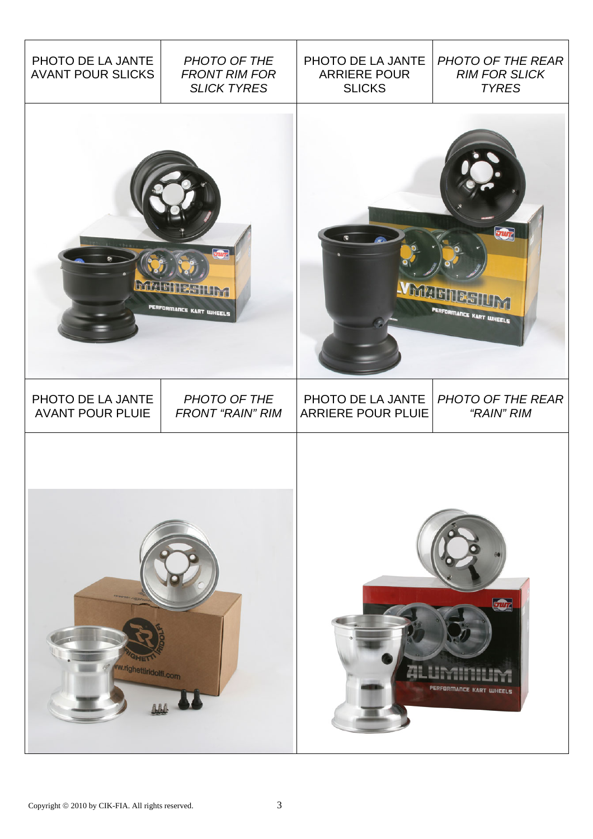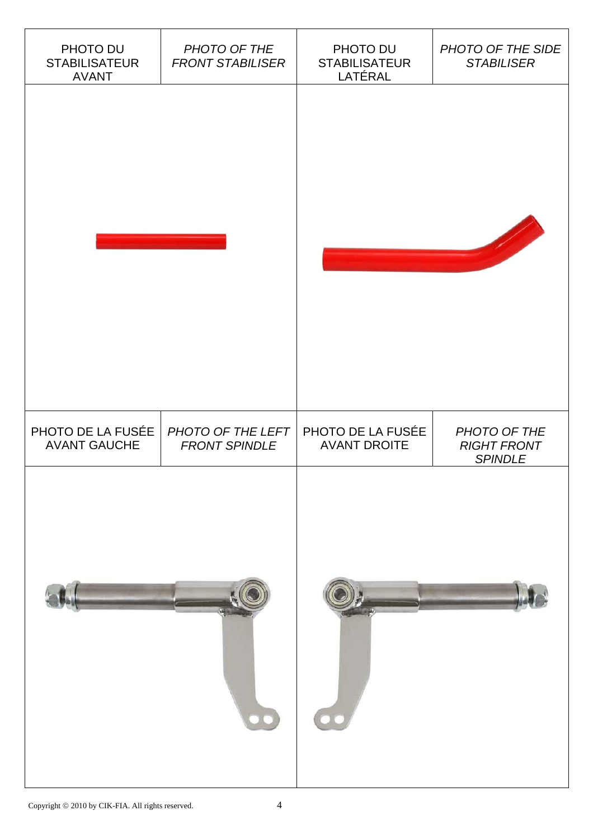| PHOTO DU<br><b>STABILISATEUR</b><br><b>AVANT</b> | PHOTO OF THE<br><b>FRONT STABILISER</b>   | PHOTO DU<br><b>STABILISATEUR</b><br>LATÉRAL | PHOTO OF THE SIDE<br><b>STABILISER</b>               |
|--------------------------------------------------|-------------------------------------------|---------------------------------------------|------------------------------------------------------|
|                                                  |                                           |                                             |                                                      |
| PHOTO DE LA FUSÉE<br><b>AVANT GAUCHE</b>         | PHOTO OF THE LEFT<br><b>FRONT SPINDLE</b> | PHOTO DE LA FUSÉE<br><b>AVANT DROITE</b>    | PHOTO OF THE<br><b>RIGHT FRONT</b><br><b>SPINDLE</b> |
| $\bullet$                                        |                                           |                                             |                                                      |